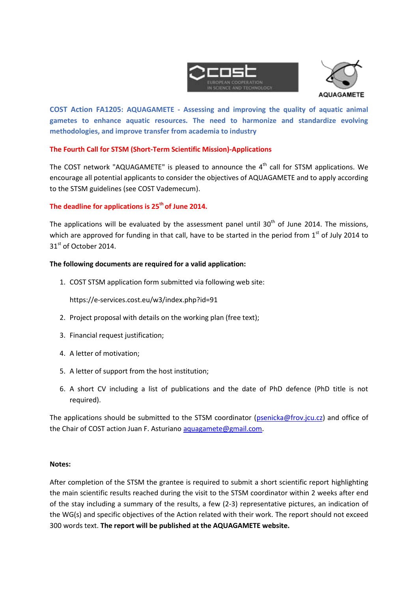



**COST Action FA1205: AQUAGAMETE - Assessing and improving the quality of aquatic animal gametes to enhance aquatic resources. The need to harmonize and standardize evolving methodologies, and improve transfer from academia to industry**

# **The Fourth Call for STSM (Short-Term Scientific Mission)-Applications**

The COST network "AQUAGAMETE" is pleased to announce the  $4^{\text{th}}$  call for STSM applications. We encourage all potential applicants to consider the objectives of AQUAGAMETE and to apply according to the STSM guidelines (see COST Vademecum).

## **The deadline for applications is 25th of June 2014.**

The applications will be evaluated by the assessment panel until  $30<sup>th</sup>$  of June 2014. The missions. which are approved for funding in that call, have to be started in the period from  $1<sup>st</sup>$  of July 2014 to 31<sup>st</sup> of October 2014.

## **The following documents are required for a valid application:**

1. COST STSM application form submitted via following web site:

https://e-services.cost.eu/w3/index.php?id=91

- 2. Project proposal with details on the working plan (free text);
- 3. Financial request justification;
- 4. A letter of motivation;
- 5. A letter of support from the host institution;
- 6. A short CV including a list of publications and the date of PhD defence (PhD title is not required).

The applications should be submitted to the STSM coordinator [\(psenicka@frov.jcu.cz\)](mailto:psenicka@frov.jcu.cz) and office of the Chair of COST action Juan F. Asturiano [aquagamete@gmail.com.](mailto:aquagamete@gmail.com)

#### **Notes:**

After completion of the STSM the grantee is required to submit a short scientific report highlighting the main scientific results reached during the visit to the STSM coordinator within 2 weeks after end of the stay including a summary of the results, a few (2-3) representative pictures, an indication of the WG(s) and specific objectives of the Action related with their work. The report should not exceed 300 words text. **The report will be published at the AQUAGAMETE website.**